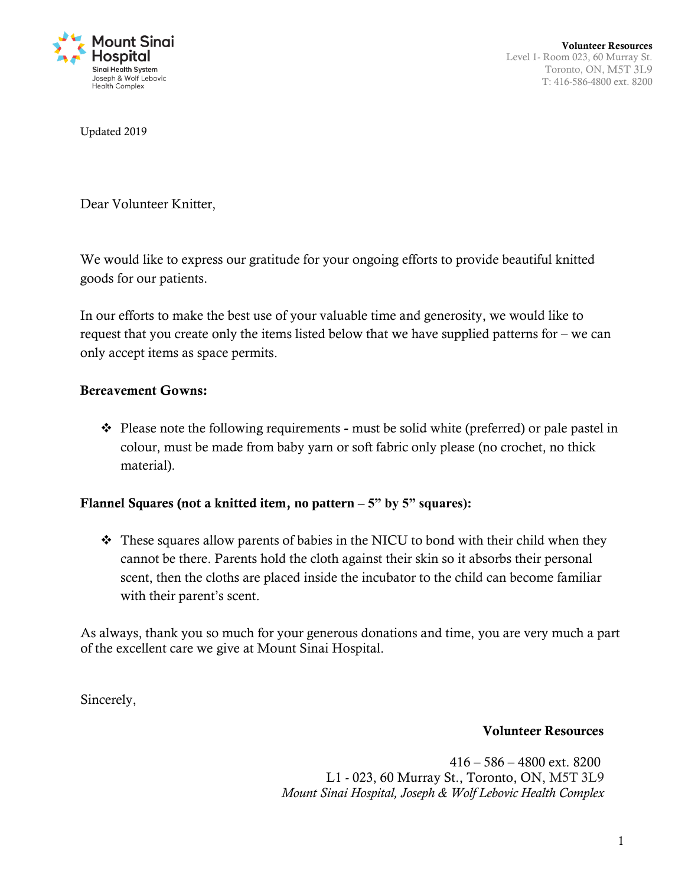

Updated 2019

Dear Volunteer Knitter,

We would like to express our gratitude for your ongoing efforts to provide beautiful knitted goods for our patients.

In our efforts to make the best use of your valuable time and generosity, we would like to request that you create only the items listed below that we have supplied patterns for – we can only accept items as space permits.

## **Bereavement Gowns:**

 Please note the following requirements **-** must be solid white (preferred) or pale pastel in colour, must be made from baby yarn or soft fabric only please (no crochet, no thick material).

## **Flannel Squares (not a knitted item, no pattern – 5" by 5" squares):**

 $\cdot$  These squares allow parents of babies in the NICU to bond with their child when they cannot be there. Parents hold the cloth against their skin so it absorbs their personal scent, then the cloths are placed inside the incubator to the child can become familiar with their parent's scent.

As always, thank you so much for your generous donations and time, you are very much a part of the excellent care we give at Mount Sinai Hospital.

Sincerely,

## **Volunteer Resources**

416 – 586 – 4800 ext. 8200 L1 - 023, 60 Murray St., Toronto, ON, M5T 3L9 *Mount Sinai Hospital, Joseph & Wolf Lebovic Health Complex*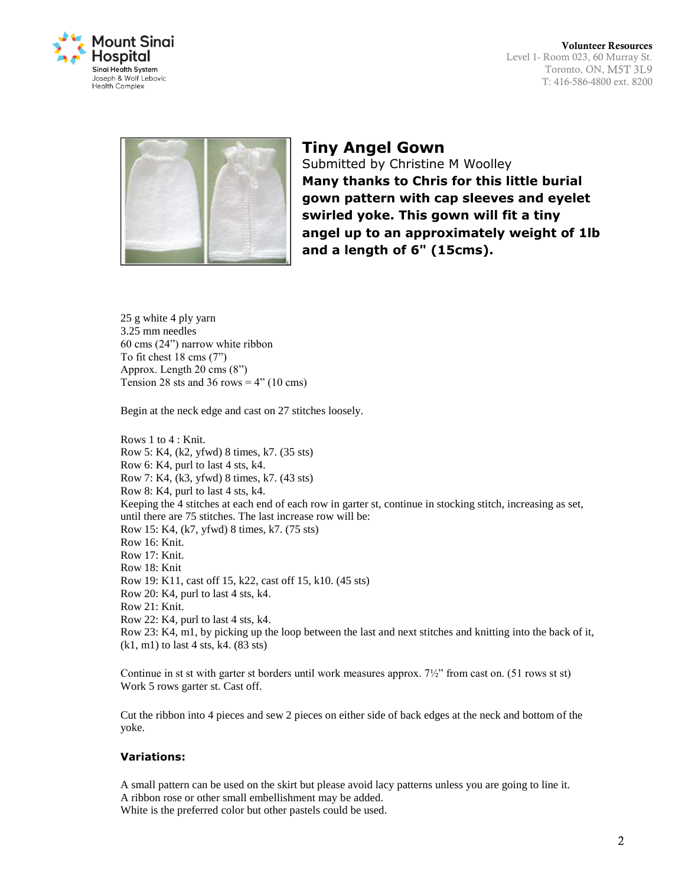



## **Tiny Angel Gown**

Submitted by Christine M Woolley **Many thanks to Chris for this little burial gown pattern with cap sleeves and eyelet swirled yoke. This gown will fit a tiny angel up to an approximately weight of 1lb and a length of 6" (15cms).**

25 g white 4 ply yarn 3.25 mm needles 60 cms (24") narrow white ribbon To fit chest 18 cms (7") Approx. Length 20 cms (8") Tension 28 sts and 36 rows  $=$  4" (10 cms)

Begin at the neck edge and cast on 27 stitches loosely.

Rows 1 to 4 : Knit. Row 5: K4, (k2, yfwd) 8 times, k7. (35 sts) Row 6: K4, purl to last 4 sts, k4. Row 7: K4, (k3, yfwd) 8 times, k7. (43 sts) Row 8: K4, purl to last 4 sts, k4. Keeping the 4 stitches at each end of each row in garter st, continue in stocking stitch, increasing as set, until there are 75 stitches. The last increase row will be: Row 15: K4, (k7, yfwd) 8 times, k7. (75 sts) Row 16: Knit. Row 17: Knit. Row 18: Knit Row 19: K11, cast off 15, k22, cast off 15, k10. (45 sts) Row 20: K4, purl to last 4 sts, k4. Row 21: Knit. Row 22: K4, purl to last 4 sts, k4. Row 23: K4, m1, by picking up the loop between the last and next stitches and knitting into the back of it, (k1, m1) to last 4 sts, k4. (83 sts)

Continue in st st with garter st borders until work measures approx. 7½" from cast on. (51 rows st st) Work 5 rows garter st. Cast off.

Cut the ribbon into 4 pieces and sew 2 pieces on either side of back edges at the neck and bottom of the yoke.

#### **Variations:**

A small pattern can be used on the skirt but please avoid lacy patterns unless you are going to line it. A ribbon rose or other small embellishment may be added. White is the preferred color but other pastels could be used.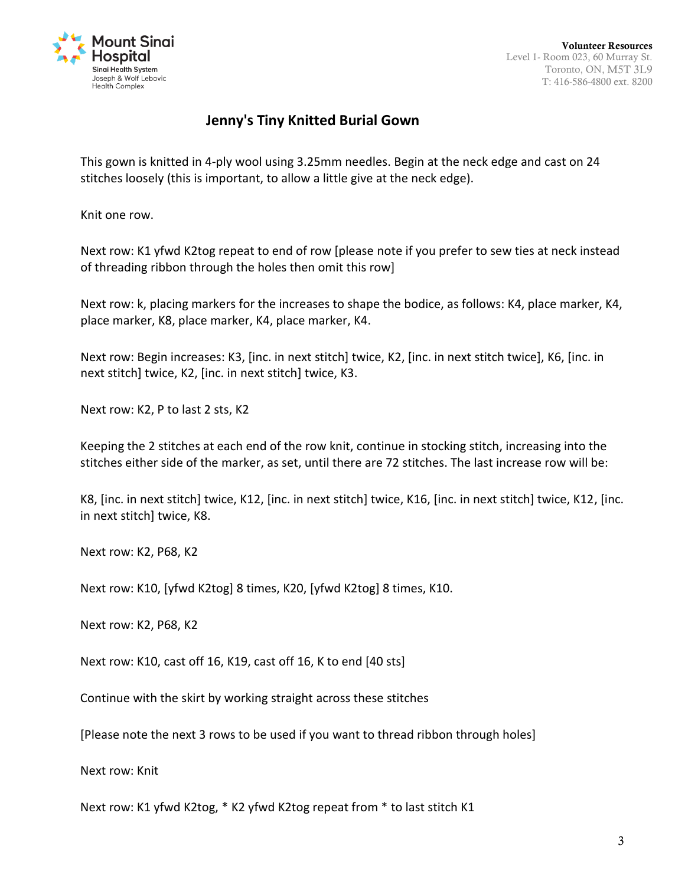

# **Jenny's Tiny Knitted Burial Gown**

This gown is knitted in 4-ply wool using 3.25mm needles. Begin at the neck edge and cast on 24 stitches loosely (this is important, to allow a little give at the neck edge).

Knit one row.

Next row: K1 yfwd K2tog repeat to end of row [please note if you prefer to sew ties at neck instead of threading ribbon through the holes then omit this row]

Next row: k, placing markers for the increases to shape the bodice, as follows: K4, place marker, K4, place marker, K8, place marker, K4, place marker, K4.

Next row: Begin increases: K3, [inc. in next stitch] twice, K2, [inc. in next stitch twice], K6, [inc. in next stitch] twice, K2, [inc. in next stitch] twice, K3.

Next row: K2, P to last 2 sts, K2

Keeping the 2 stitches at each end of the row knit, continue in stocking stitch, increasing into the stitches either side of the marker, as set, until there are 72 stitches. The last increase row will be:

K8, [inc. in next stitch] twice, K12, [inc. in next stitch] twice, K16, [inc. in next stitch] twice, K12, [inc. in next stitch] twice, K8.

Next row: K2, P68, K2

Next row: K10, [yfwd K2tog] 8 times, K20, [yfwd K2tog] 8 times, K10.

Next row: K2, P68, K2

Next row: K10, cast off 16, K19, cast off 16, K to end [40 sts]

Continue with the skirt by working straight across these stitches

[Please note the next 3 rows to be used if you want to thread ribbon through holes]

Next row: Knit

Next row: K1 yfwd K2tog, \* K2 yfwd K2tog repeat from \* to last stitch K1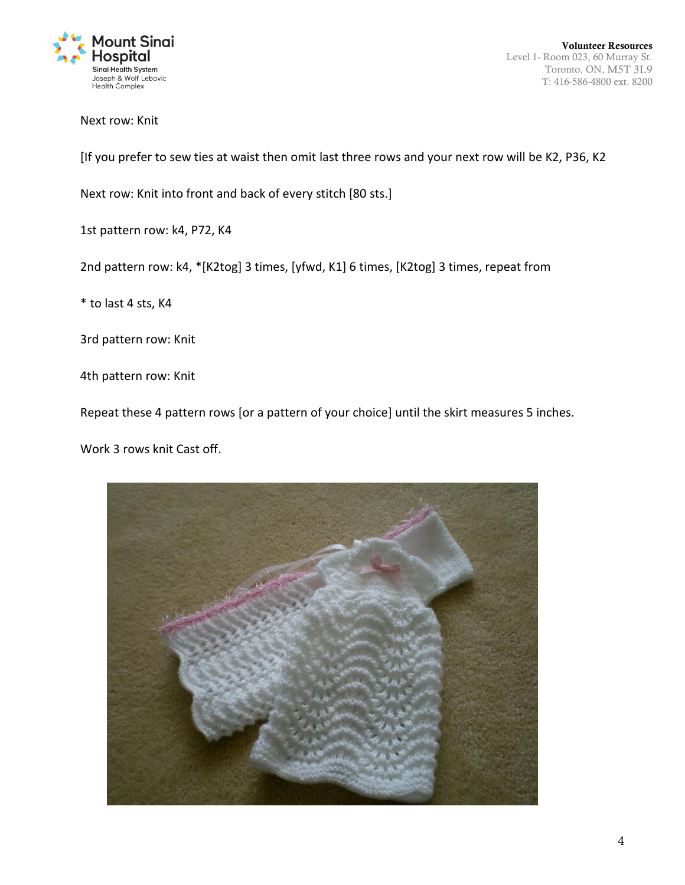

Next row: Knit

[If you prefer to sew ties at waist then omit last three rows and your next row will be K2, P36, K2

Next row: Knit into front and back of every stitch [80 sts.]

1st pattern row: k4, P72, K4

2nd pattern row: k4, \*[K2tog] 3 times, [yfwd, K1] 6 times, [K2tog] 3 times, repeat from

\* to last 4 sts, K4

3rd pattern row: Knit

4th pattern row: Knit

Repeat these 4 pattern rows [or a pattern of your choice] until the skirt measures 5 inches.

Work 3 rows knit Cast off.

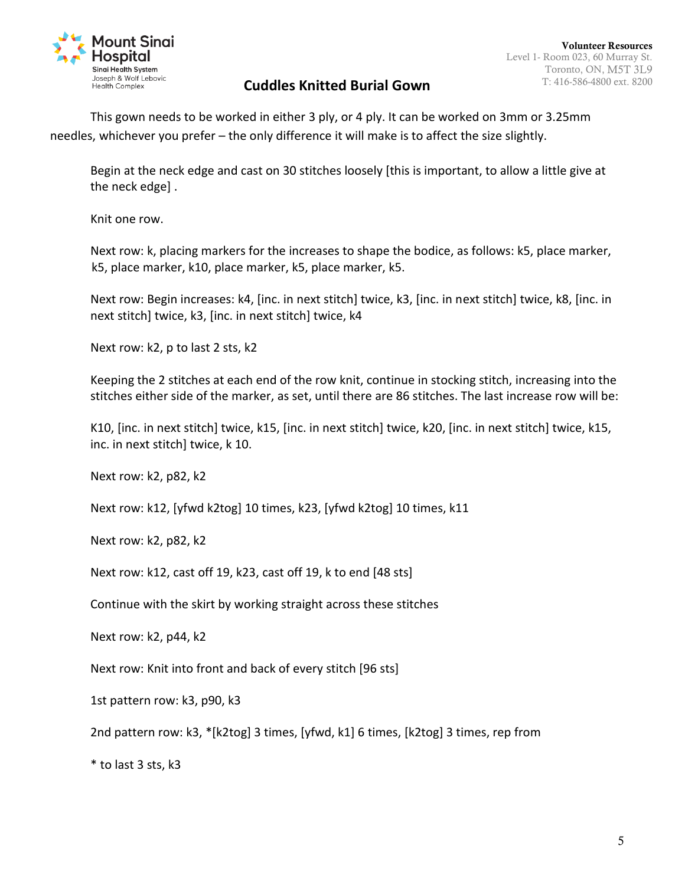

# T: 416-586-4800 ext. 8200 **Cuddles Knitted Burial Gown**

This gown needs to be worked in either 3 ply, or 4 ply. It can be worked on 3mm or 3.25mm needles, whichever you prefer – the only difference it will make is to affect the size slightly.

Begin at the neck edge and cast on 30 stitches loosely [this is important, to allow a little give at the neck edge] .

Knit one row.

Next row: k, placing markers for the increases to shape the bodice, as follows: k5, place marker, k5, place marker, k10, place marker, k5, place marker, k5.

Next row: Begin increases: k4, [inc. in next stitch] twice, k3, [inc. in next stitch] twice, k8, [inc. in next stitch] twice, k3, [inc. in next stitch] twice, k4

Next row: k2, p to last 2 sts, k2

Keeping the 2 stitches at each end of the row knit, continue in stocking stitch, increasing into the stitches either side of the marker, as set, until there are 86 stitches. The last increase row will be:

K10, [inc. in next stitch] twice, k15, [inc. in next stitch] twice, k20, [inc. in next stitch] twice, k15, inc. in next stitch] twice, k 10.

Next row: k2, p82, k2

Next row: k12, [yfwd k2tog] 10 times, k23, [yfwd k2tog] 10 times, k11

Next row: k2, p82, k2

Next row: k12, cast off 19, k23, cast off 19, k to end [48 sts]

Continue with the skirt by working straight across these stitches

Next row: k2, p44, k2

Next row: Knit into front and back of every stitch [96 sts]

1st pattern row: k3, p90, k3

2nd pattern row: k3, \*[k2tog] 3 times, [yfwd, k1] 6 times, [k2tog] 3 times, rep from

\* to last 3 sts, k3